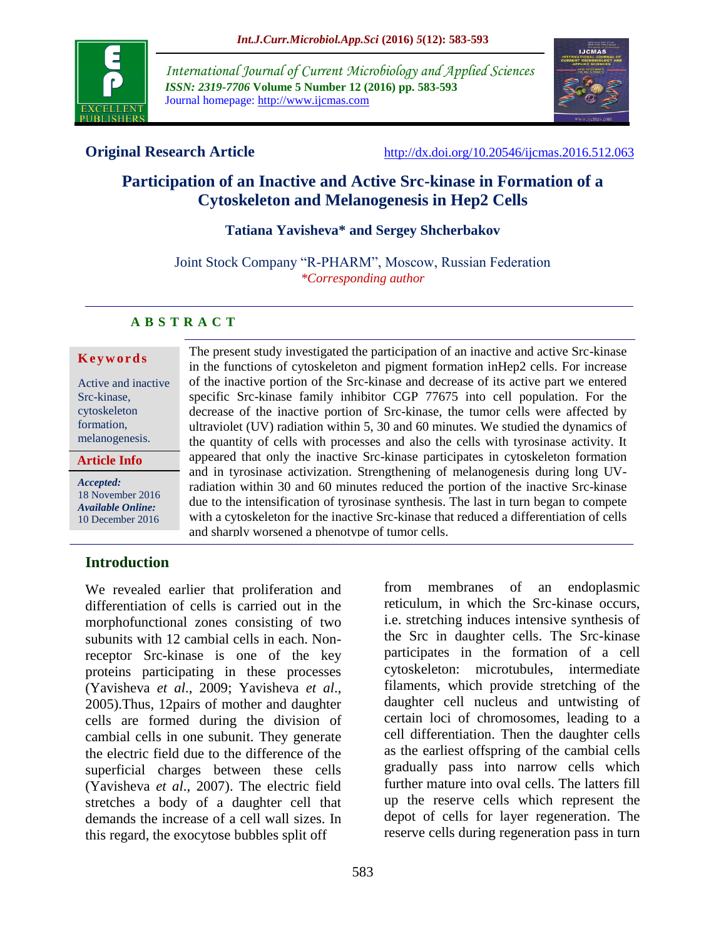

*International Journal of Current Microbiology and Applied Sciences ISSN: 2319-7706* **Volume 5 Number 12 (2016) pp. 583-593** Journal homepage: http://www.ijcmas.com



**Original Research Article** <http://dx.doi.org/10.20546/ijcmas.2016.512.063>

# **Participation of an Inactive and Active Src-kinase in Formation of a Cytoskeleton and Melanogenesis in Hep2 Cells**

### **Tatiana Yavisheva\* and Sergey Shcherbakov**

Joint Stock Company "R-PHARM", Moscow, Russian Federation *\*Corresponding author*

#### **A B S T R A C T**

#### **K e y w o r d s**

Active and inactive Src-kinase, cytoskeleton formation, melanogenesis.

#### **Article Info**

*Accepted:*  18 November 2016 *Available Online:* 10 December 2016

in the functions of cytoskeleton and pigment formation inHep2 cells. For increase of the inactive portion of the Src-kinase and decrease of its active part we entered specific Src-kinase family inhibitor CGP 77675 into cell population. For the decrease of the inactive portion of Src-kinase, the tumor cells were affected by ultraviolet (UV) radiation within 5, 30 and 60 minutes. We studied the dynamics of the quantity of cells with processes and also the cells with tyrosinase activity. It appeared that only the inactive Src-kinase participates in cytoskeleton formation and in tyrosinase activization. Strengthening of melanogenesis during long UVradiation within 30 and 60 minutes reduced the portion of the inactive Src-kinase due to the intensification of tyrosinase synthesis. The last in turn began to compete with a cytoskeleton for the inactive Src-kinase that reduced a differentiation of cells and sharply worsened a phenotype of tumor cells.

The present study investigated the participation of an inactive and active Src-kinase

## **Introduction**

We revealed earlier that proliferation and differentiation of cells is carried out in the morphofunctional zones consisting of two subunits with 12 cambial cells in each. Nonreceptor Src-kinase is one of the key proteins participating in these processes (Yavisheva *et al*., 2009; Yavisheva *et al*., 2005).Thus, 12pairs of mother and daughter cells are formed during the division of cambial cells in one subunit. They generate the electric field due to the difference of the superficial charges between these cells (Yavisheva *et al*., 2007). The electric field stretches a body of a daughter cell that demands the increase of a cell wall sizes. In this regard, the exocytose bubbles split off

from membranes of an endoplasmic reticulum, in which the Src-kinase occurs, i.e. stretching induces intensive synthesis of the Src in daughter cells. The Src-kinase participates in the formation of a cell cytoskeleton: microtubules, intermediate filaments, which provide stretching of the daughter cell nucleus and untwisting of certain loci of chromosomes, leading to a cell differentiation. Then the daughter cells as the earliest offspring of the cambial cells gradually pass into narrow cells which further mature into oval cells. The latters fill up the reserve cells which represent the depot of cells for layer regeneration. The reserve cells during regeneration pass in turn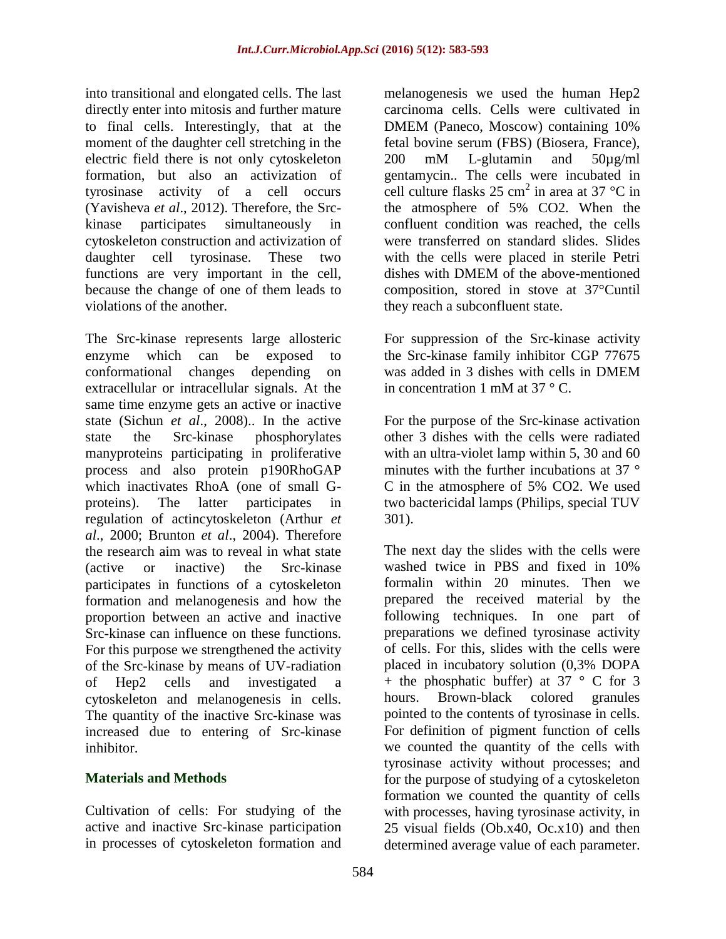into transitional and elongated cells. The last directly enter into mitosis and further mature to final cells. Interestingly, that at the moment of the daughter cell stretching in the electric field there is not only cytoskeleton formation, but also an activization of tyrosinase activity of a cell occurs (Yavisheva *et al*., 2012). Therefore, the Srckinase participates simultaneously in cytoskeleton construction and activization of daughter cell tyrosinase. These two functions are very important in the cell, because the change of one of them leads to violations of the another.

The Src-kinase represents large allosteric enzyme which can be exposed to conformational changes depending on extracellular or intracellular signals. At the same time enzyme gets an active or inactive state (Sichun *et al*., 2008).. In the active state the Src-kinase phosphorylates manyproteins participating in proliferative process and also protein p190RhoGAP which inactivates RhoA (one of small Gproteins). The latter participates in regulation of actincytoskeleton (Arthur *et al*., 2000; Brunton *et al*., 2004). Therefore the research aim was to reveal in what state (active or inactive) the Src-kinase participates in functions of a cytoskeleton formation and melanogenesis and how the proportion between an active and inactive Src-kinase can influence on these functions. For this purpose we strengthened the activity of the Src-kinase by means of UV-radiation of Hep2 cells and investigated a cytoskeleton and melanogenesis in cells. The quantity of the inactive Src-kinase was increased due to entering of Src-kinase inhibitor.

## **Materials and Methods**

Cultivation of cells: For studying of the active and inactive Src-kinase participation in processes of cytoskeleton formation and melanogenesis we used the human Hep2 carcinoma cells. Cells were cultivated in DMEM (Paneco, Moscow) containing 10% fetal bovine serum (FBS) (Biosera, France), 200 mM L-glutamin and 50µg/ml gentamycin.. The cells were incubated in cell culture flasks  $25 \text{ cm}^2$  in area at 37 °C in the atmosphere of 5% CO2. When the confluent condition was reached, the cells were transferred on standard slides. Slides with the cells were placed in sterile Petri dishes with DMEM of the above-mentioned composition, stored in stove at 37°Cuntil they reach a subconfluent state.

For suppression of the Src-kinase activity the Src-kinase family inhibitor CGP 77675 was added in 3 dishes with cells in DMEM in concentration 1 mM at  $37 \degree$  C.

For the purpose of the Src-kinase activation other 3 dishes with the cells were radiated with an ultra-violet lamp within 5, 30 and 60 minutes with the further incubations at 37 ° C in the atmosphere of 5% CO2. We used two bactericidal lamps (Philips, special TUV 301).

The next day the slides with the cells were washed twice in PBS and fixed in 10% formalin within 20 minutes. Then we prepared the received material by the following techniques. In one part of preparations we defined tyrosinase activity of cells. For this, slides with the cells were placed in incubatory solution (0,3% DOPA + the phosphatic buffer) at 37  $\degree$  C for 3 hours. Brown-black colored granules pointed to the contents of tyrosinase in cells. For definition of pigment function of cells we counted the quantity of the cells with tyrosinase activity without processes; and for the purpose of studying of a cytoskeleton formation we counted the quantity of cells with processes, having tyrosinase activity, in 25 visual fields (Ob.x40, Oc.x10) and then determined average value of each parameter.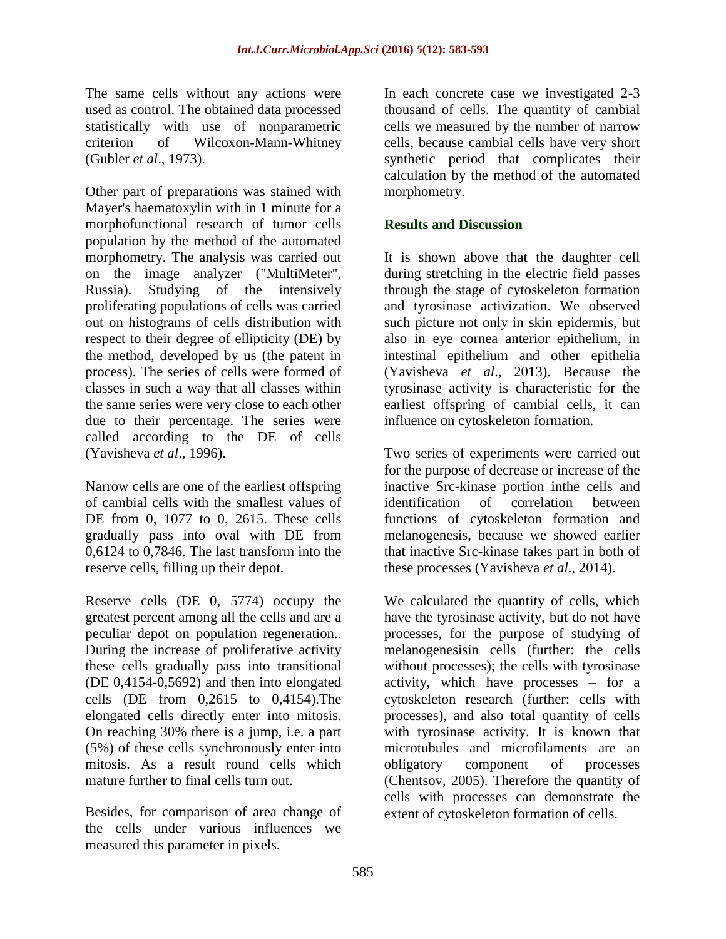The same cells without any actions were used as control. The obtained data processed statistically with use of nonparametric criterion of Wilcoxon-Mann-Whitney (Gubler *et al*., 1973).

Other part of preparations was stained with Mayer's haematoxylin with in 1 minute for a morphofunctional research of tumor cells population by the method of the automated morphometry. The analysis was carried out on the image analyzer ("MultiMeter", Russia). Studying of the intensively proliferating populations of cells was carried out on histograms of cells distribution with respect to their degree of ellipticity (DE) by the method, developed by us (the patent in process). The series of cells were formed of classes in such a way that all classes within the same series were very close to each other due to their percentage. The series were called according to the DE of cells (Yavisheva *et al*., 1996).

Narrow cells are one of the earliest offspring of cambial cells with the smallest values of DE from 0, 1077 to 0, 2615. These cells gradually pass into oval with DE from 0,6124 to 0,7846. The last transform into the reserve cells, filling up their depot.

Reserve cells (DE 0, 5774) occupy the greatest percent among all the cells and are a peculiar depot on population regeneration.. During the increase of proliferative activity these cells gradually pass into transitional (DE 0,4154-0,5692) and then into elongated cells (DE from 0,2615 to 0,4154).The elongated cells directly enter into mitosis. On reaching 30% there is a jump, i.e. a part (5%) of these cells synchronously enter into mitosis. As a result round cells which mature further to final cells turn out.

Besides, for comparison of area change of the cells under various influences we measured this parameter in pixels.

In each concrete case we investigated 2-3 thousand of cells. The quantity of cambial cells we measured by the number of narrow cells, because cambial cells have very short synthetic period that complicates their calculation by the method of the automated morphometry.

## **Results and Discussion**

It is shown above that the daughter cell during stretching in the electric field passes through the stage of cytoskeleton formation and tyrosinase activization. We observed such picture not only in skin epidermis, but also in eye cornea anterior epithelium, in intestinal epithelium and other epithelia (Yavisheva *et al*., 2013). Because the tyrosinase activity is characteristic for the earliest offspring of cambial cells, it can influence on cytoskeleton formation.

Two series of experiments were carried out for the purpose of decrease or increase of the inactive Src-kinase portion inthe cells and identification of correlation between functions of cytoskeleton formation and melanogenesis, because we showed earlier that inactive Src-kinase takes part in both of these processes (Yavisheva *et al*., 2014).

We calculated the quantity of cells, which have the tyrosinase activity, but do not have processes, for the purpose of studying of melanogenesisin cells (further: the cells without processes); the cells with tyrosinase activity, which have processes – for a cytoskeleton research (further: cells with processes), and also total quantity of cells with tyrosinase activity. It is known that microtubules and microfilaments are an obligatory component of processes (Chentsov, 2005). Therefore the quantity of cells with processes can demonstrate the extent of cytoskeleton formation of cells.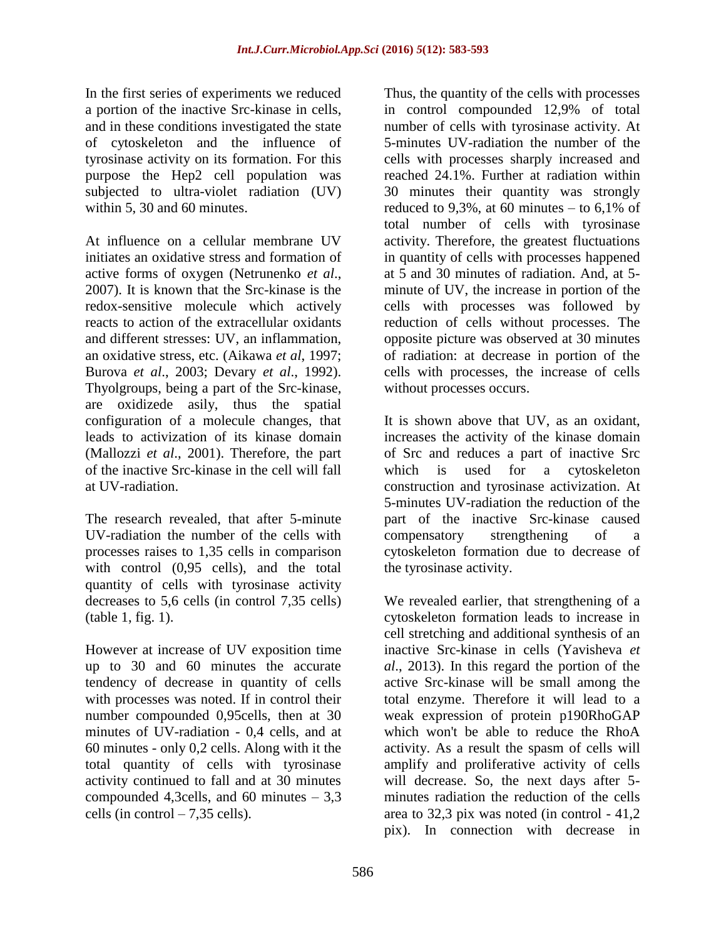In the first series of experiments we reduced a portion of the inactive Src-kinase in cells, and in these conditions investigated the state of cytoskeleton and the influence of tyrosinase activity on its formation. For this purpose the Hep2 cell population was subjected to ultra-violet radiation (UV) within 5, 30 and 60 minutes.

At influence on a cellular membrane UV initiates an oxidative stress and formation of active forms of oxygen (Netrunenko *et al*., 2007). It is known that the Src-kinase is the redox-sensitive molecule which actively reacts to action of the extracellular oxidants and different stresses: UV, an inflammation, an oxidative stress, etc. (Aikawa *et al*, 1997; Burova *et al*., 2003; Devary *et al*., 1992). Thyolgroups, being a part of the Src-kinase, are oxidizede asily, thus the spatial configuration of a molecule changes, that leads to activization of its kinase domain (Mallozzi *et al*., 2001). Therefore, the part of the inactive Src-kinase in the cell will fall at UV-radiation.

The research revealed, that after 5-minute UV-radiation the number of the cells with processes raises to 1,35 cells in comparison with control  $(0.95 \text{ cells})$ , and the total quantity of cells with tyrosinase activity decreases to 5,6 cells (in control 7,35 cells) (table 1, fig. 1).

However at increase of UV exposition time up to 30 and 60 minutes the accurate tendency of decrease in quantity of cells with processes was noted. If in control their number compounded 0,95cells, then at 30 minutes of UV-radiation - 0,4 cells, and at 60 minutes - only 0,2 cells. Along with it the total quantity of cells with tyrosinase activity continued to fall and at 30 minutes compounded 4,3cells, and 60 minutes  $-3,3$ cells (in control  $-7,35$  cells).

Thus, the quantity of the cells with processes in control compounded 12,9% of total number of cells with tyrosinase activity. At 5-minutes UV-radiation the number of the cells with processes sharply increased and reached 24.1%. Further at radiation within 30 minutes their quantity was strongly reduced to 9,3%, at 60 minutes – to  $6,1\%$  of total number of cells with tyrosinase activity. Therefore, the greatest fluctuations in quantity of cells with processes happened at 5 and 30 minutes of radiation. And, at 5 minute of UV, the increase in portion of the cells with processes was followed by reduction of cells without processes. The opposite picture was observed at 30 minutes of radiation: at decrease in portion of the cells with processes, the increase of cells without processes occurs.

It is shown above that UV, as an oxidant, increases the activity of the kinase domain of Src and reduces a part of inactive Src which is used for a cytoskeleton construction and tyrosinase activization. At 5-minutes UV-radiation the reduction of the part of the inactive Src-kinase caused compensatory strengthening of a cytoskeleton formation due to decrease of the tyrosinase activity.

We revealed earlier, that strengthening of a cytoskeleton formation leads to increase in cell stretching and additional synthesis of an inactive Src-kinase in cells (Yavisheva *et al*., 2013). In this regard the portion of the active Src-kinase will be small among the total enzyme. Therefore it will lead to a weak expression of protein p190RhoGAP which won't be able to reduce the RhoA activity. As a result the spasm of cells will amplify and proliferative activity of cells will decrease. So, the next days after 5 minutes radiation the reduction of the cells area to 32,3 pix was noted (in control - 41,2 pix). In connection with decrease in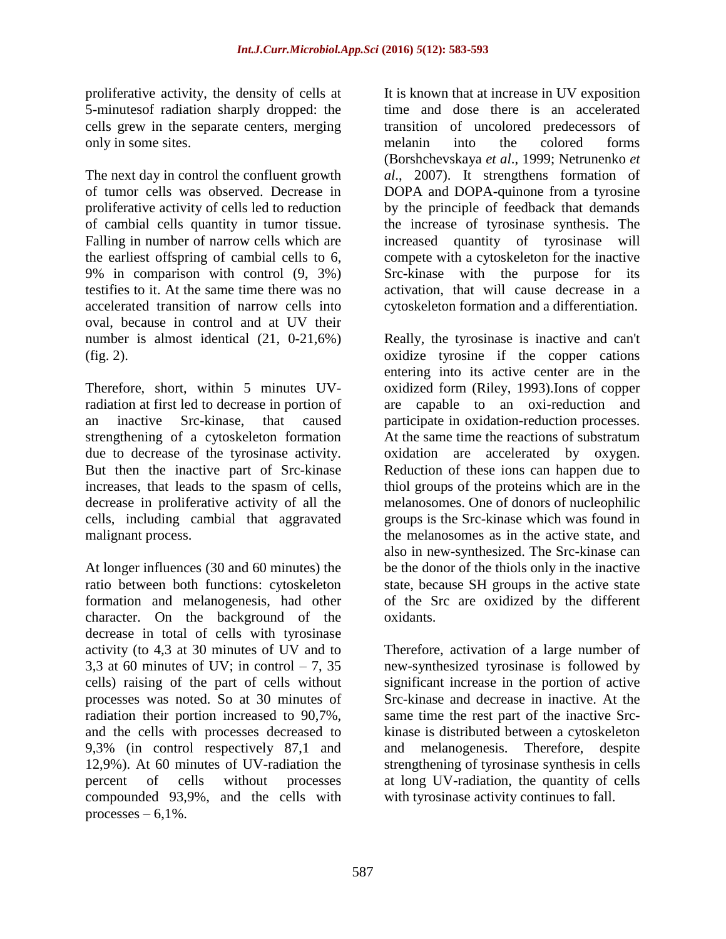proliferative activity, the density of cells at 5-minutesof radiation sharply dropped: the cells grew in the separate centers, merging only in some sites.

The next day in control the confluent growth of tumor cells was observed. Decrease in proliferative activity of cells led to reduction of cambial cells quantity in tumor tissue. Falling in number of narrow cells which are the earliest offspring of cambial cells to 6, 9% in comparison with control (9, 3%) testifies to it. At the same time there was no accelerated transition of narrow cells into oval, because in control and at UV their number is almost identical (21, 0-21,6%) (fig. 2).

Therefore, short, within 5 minutes UVradiation at first led to decrease in portion of an inactive Src-kinase, that caused strengthening of a cytoskeleton formation due to decrease of the tyrosinase activity. But then the inactive part of Src-kinase increases, that leads to the spasm of cells, decrease in proliferative activity of all the cells, including cambial that aggravated malignant process.

At longer influences (30 and 60 minutes) the ratio between both functions: cytoskeleton formation and melanogenesis, had other character. On the background of the decrease in total of cells with tyrosinase activity (to 4,3 at 30 minutes of UV and to 3,3 at 60 minutes of UV; in control  $-7$ , 35 cells) raising of the part of cells without processes was noted. So at 30 minutes of radiation their portion increased to 90,7%, and the cells with processes decreased to 9,3% (in control respectively 87,1 and 12,9%). At 60 minutes of UV-radiation the percent of cells without processes compounded 93,9%, and the cells with processes  $-6,1\%$ .

It is known that at increase in UV exposition time and dose there is an accelerated transition of uncolored predecessors of melanin into the colored forms (Borshchevskaya *et al*., 1999; Netrunenko *et al*., 2007). It strengthens formation of DOPA and DOPA-quinone from a tyrosine by the principle of feedback that demands the increase of tyrosinase synthesis. The increased quantity of tyrosinase will compete with a cytoskeleton for the inactive Src-kinase with the purpose for its activation, that will cause decrease in a cytoskeleton formation and a differentiation.

Really, the tyrosinase is inactive and can't oxidize tyrosine if the copper cations entering into its active center are in the oxidized form (Riley, 1993).Ions of copper are capable to an oxi-reduction and participate in oxidation-reduction processes. At the same time the reactions of substratum oxidation are accelerated by oxygen. Reduction of these ions can happen due to thiol groups of the proteins which are in the melanosomes. One of donors of nucleophilic groups is the Src-kinase which was found in the melanosomes as in the active state, and also in new-synthesized. The Src-kinase can be the donor of the thiols only in the inactive state, because SH groups in the active state of the Src are oxidized by the different oxidants.

Therefore, activation of a large number of new-synthesized tyrosinase is followed by significant increase in the portion of active Src-kinase and decrease in inactive. At the same time the rest part of the inactive Srckinase is distributed between a cytoskeleton and melanogenesis. Therefore, despite strengthening of tyrosinase synthesis in cells at long UV-radiation, the quantity of cells with tyrosinase activity continues to fall.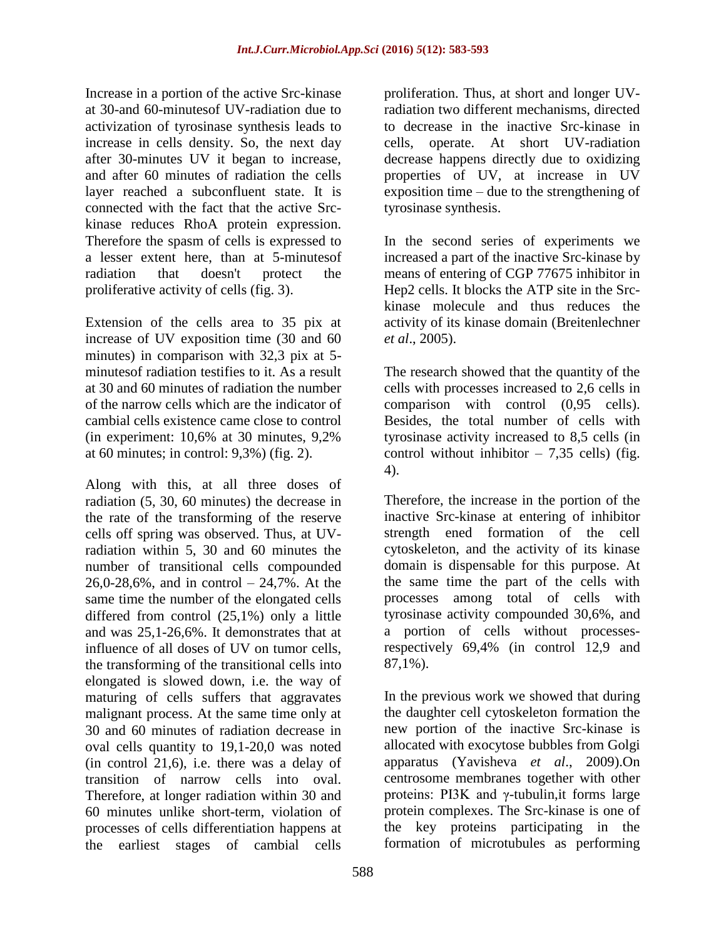Increase in a portion of the active Src-kinase at 30-and 60-minutesof UV-radiation due to activization of tyrosinase synthesis leads to increase in cells density. So, the next day after 30-minutes UV it began to increase, and after 60 minutes of radiation the cells layer reached a subconfluent state. It is connected with the fact that the active Srckinase reduces RhoA protein expression. Therefore the spasm of cells is expressed to a lesser extent here, than at 5-minutesof radiation that doesn't protect the proliferative activity of cells (fig. 3).

Extension of the cells area to 35 pix at increase of UV exposition time (30 and 60 minutes) in comparison with 32,3 pix at 5 minutesof radiation testifies to it. As a result at 30 and 60 minutes of radiation the number of the narrow cells which are the indicator of cambial cells existence came close to control (in experiment: 10,6% at 30 minutes, 9,2% at 60 minutes; in control: 9,3%) (fig. 2).

Along with this, at all three doses of radiation (5, 30, 60 minutes) the decrease in the rate of the transforming of the reserve cells off spring was observed. Thus, at UVradiation within 5, 30 and 60 minutes the number of transitional cells compounded 26,0-28,6%, and in control – 24,7%. At the same time the number of the elongated cells differed from control (25,1%) only a little and was 25,1-26,6%. It demonstrates that at influence of all doses of UV on tumor cells, the transforming of the transitional cells into elongated is slowed down, i.e. the way of maturing of cells suffers that aggravates malignant process. At the same time only at 30 and 60 minutes of radiation decrease in oval cells quantity to 19,1-20,0 was noted (in control 21,6), i.e. there was a delay of transition of narrow cells into oval. Therefore, at longer radiation within 30 and 60 minutes unlike short-term, violation of processes of cells differentiation happens at the earliest stages of cambial cells

proliferation. Thus, at short and longer UVradiation two different mechanisms, directed to decrease in the inactive Src-kinase in cells, operate. At short UV-radiation decrease happens directly due to oxidizing properties of UV, at increase in UV exposition time – due to the strengthening of tyrosinase synthesis.

In the second series of experiments we increased a part of the inactive Src-kinase by means of entering of CGP 77675 inhibitor in Hep2 cells. It blocks the ATP site in the Srckinase molecule and thus reduces the activity of its kinase domain (Breitenlechner *et al*., 2005).

The research showed that the quantity of the cells with processes increased to 2,6 cells in comparison with control (0,95 cells). Besides, the total number of cells with tyrosinase activity increased to 8,5 cells (in control without inhibitor  $-7.35$  cells) (fig. 4).

Therefore, the increase in the portion of the inactive Src-kinase at entering of inhibitor strength ened formation of the cell cytoskeleton, and the activity of its kinase domain is dispensable for this purpose. At the same time the part of the cells with processes among total of cells with tyrosinase activity compounded 30,6%, and a portion of cells without processesrespectively 69,4% (in control 12,9 and 87,1%).

In the previous work we showed that during the daughter cell cytoskeleton formation the new portion of the inactive Src-kinase is allocated with exocytose bubbles from Golgi apparatus (Yavisheva *et al*., 2009).On centrosome membranes together with other proteins: PI3K and γ-tubulin,it forms large protein complexes. The Src-kinase is one of the key proteins participating in the formation of microtubules as performing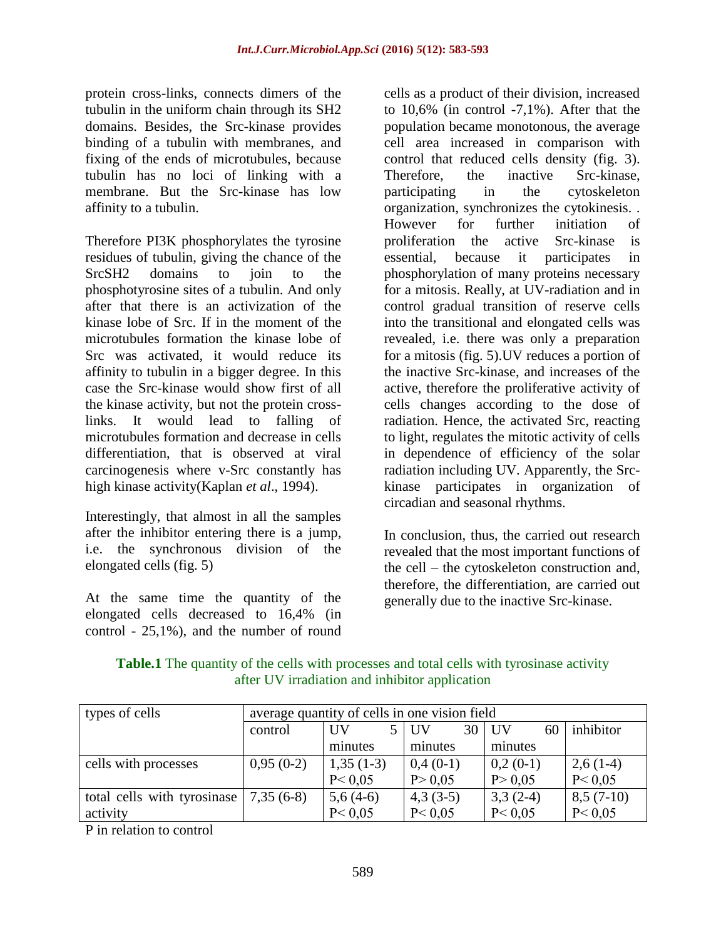protein cross-links, connects dimers of the tubulin in the uniform chain through its SH2 domains. Besides, the Src-kinase provides binding of a tubulin with membranes, and fixing of the ends of microtubules, because tubulin has no loci of linking with a membrane. But the Src-kinase has low affinity to a tubulin.

Therefore PI3K phosphorylates the tyrosine residues of tubulin, giving the chance of the SrcSH2 domains to join to the phosphotyrosine sites of a tubulin. And only after that there is an activization of the kinase lobe of Src. If in the moment of the microtubules formation the kinase lobe of Src was activated, it would reduce its affinity to tubulin in a bigger degree. In this case the Src-kinase would show first of all the kinase activity, but not the protein crosslinks. It would lead to falling of microtubules formation and decrease in cells differentiation, that is observed at viral carcinogenesis where v-Src constantly has high kinase activity(Kaplan *et al*., 1994).

Interestingly, that almost in all the samples after the inhibitor entering there is a jump, i.e. the synchronous division of the elongated cells (fig. 5)

At the same time the quantity of the elongated cells decreased to 16,4% (in control - 25,1%), and the number of round cells as a product of their division, increased to 10,6% (in control -7,1%). After that the population became monotonous, the average cell area increased in comparison with control that reduced cells density (fig. 3). Therefore, the inactive Src-kinase, participating in the cytoskeleton organization, synchronizes the cytokinesis. . However for further initiation of proliferation the active Src-kinase is essential, because it participates in phosphorylation of many proteins necessary for a mitosis. Really, at UV-radiation and in control gradual transition of reserve cells into the transitional and elongated cells was revealed, i.e. there was only a preparation for a mitosis (fig. 5).UV reduces a portion of the inactive Src-kinase, and increases of the active, therefore the proliferative activity of cells changes according to the dose of radiation. Hence, the activated Src, reacting to light, regulates the mitotic activity of cells in dependence of efficiency of the solar radiation including UV. Apparently, the Srckinase participates in organization of circadian and seasonal rhythms.

In conclusion, thus, the carried out research revealed that the most important functions of the cell – the cytoskeleton construction and, therefore, the differentiation, are carried out generally due to the inactive Src-kinase.

**Table.1** The quantity of the cells with processes and total cells with tyrosinase activity after UV irradiation and inhibitor application

| types of cells              | average quantity of cells in one vision field |             |                               |                 |             |
|-----------------------------|-----------------------------------------------|-------------|-------------------------------|-----------------|-------------|
|                             | control                                       | UV          | 30 <sup>1</sup><br><b>IIV</b> | <b>UV</b><br>60 | inhibitor   |
|                             |                                               | minutes     | minutes                       | minutes         |             |
| cells with processes        | $0,95(0-2)$                                   | $1,35(1-3)$ | $0,4(0-1)$                    | $0,2(0-1)$      | $2,6(1-4)$  |
|                             |                                               | P < 0.05    | P > 0,05                      | P > 0.05        | P < 0.05    |
| total cells with tyrosinase | $7,35(6-8)$                                   | $5,6(4-6)$  | $4,3(3-5)$                    | $3,3(2-4)$      | $8,5(7-10)$ |
| activity                    |                                               | P < 0.05    | P < 0.05                      | P < 0.05        | P < 0.05    |

P in relation to control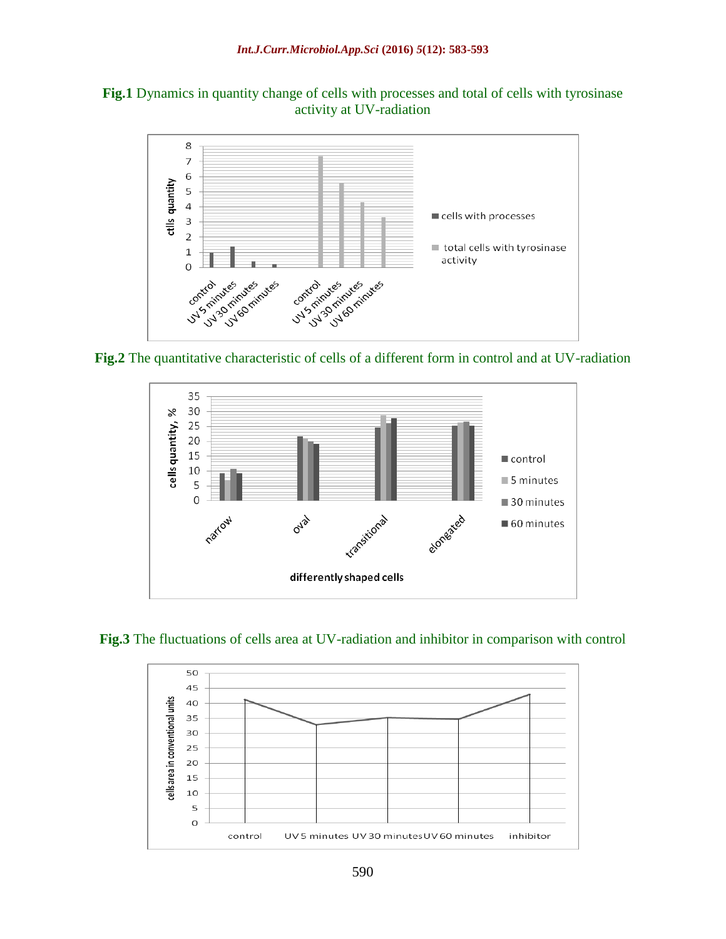





**Fig.3** The fluctuations of cells area at UV-radiation and inhibitor in comparison with control

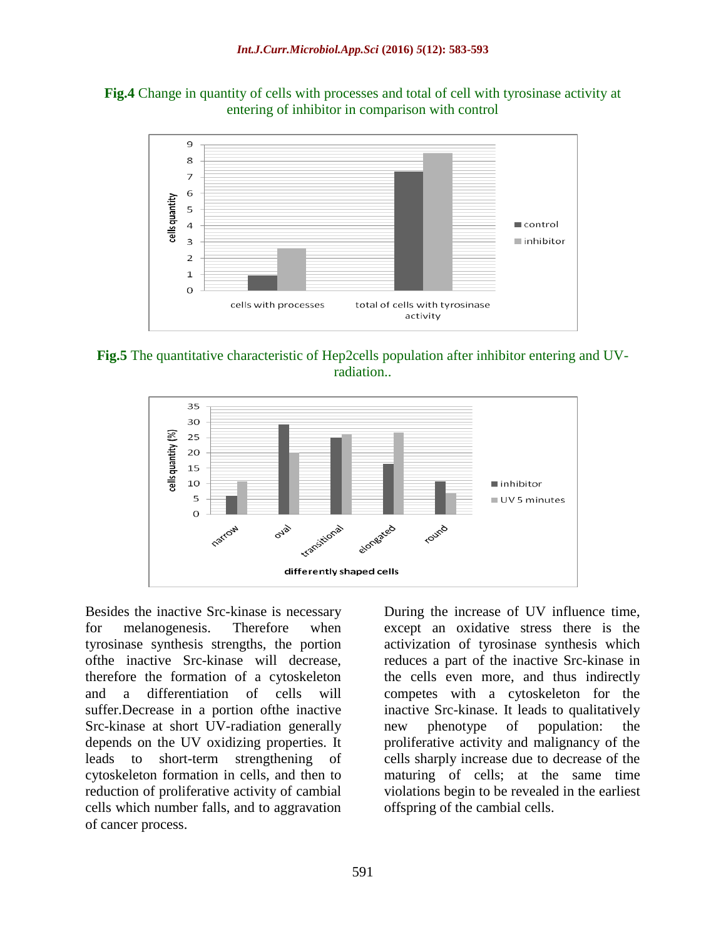



**Fig.5** The quantitative characteristic of Hep2cells population after inhibitor entering and UVradiation..



Besides the inactive Src-kinase is necessary for melanogenesis. Therefore when tyrosinase synthesis strengths, the portion ofthe inactive Src-kinase will decrease, therefore the formation of a cytoskeleton and a differentiation of cells will suffer.Decrease in a portion ofthe inactive Src-kinase at short UV-radiation generally depends on the UV oxidizing properties. It leads to short-term strengthening of cytoskeleton formation in cells, and then to reduction of proliferative activity of cambial cells which number falls, and to aggravation of cancer process.

During the increase of UV influence time, except an oxidative stress there is the activization of tyrosinase synthesis which reduces a part of the inactive Src-kinase in the cells even more, and thus indirectly competes with a cytoskeleton for the inactive Src-kinase. It leads to qualitatively new phenotype of population: the proliferative activity and malignancy of the cells sharply increase due to decrease of the maturing of cells; at the same time violations begin to be revealed in the earliest offspring of the cambial cells.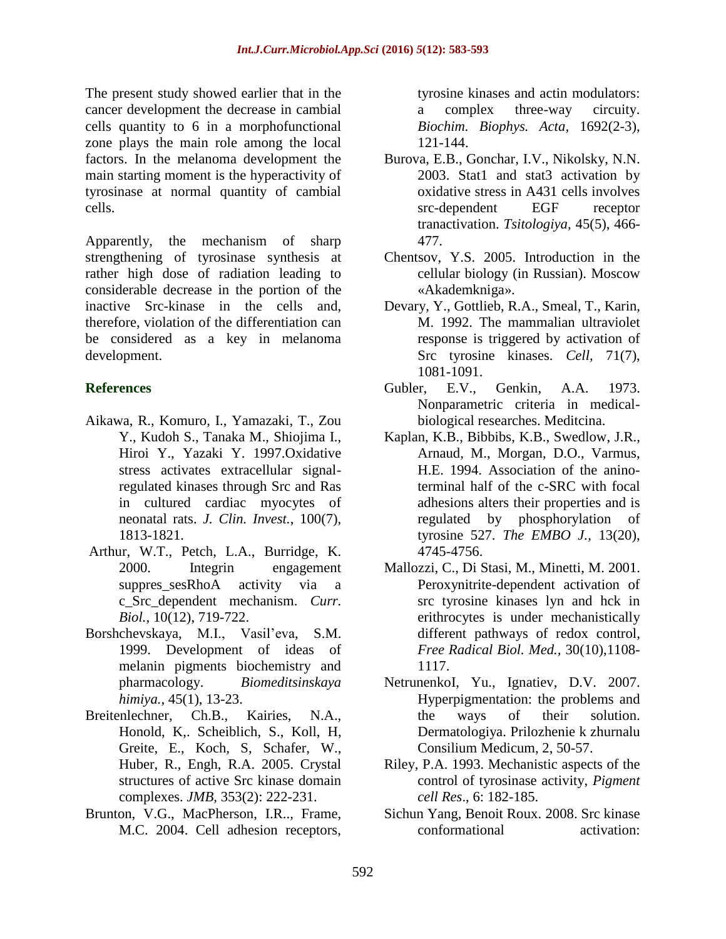The present study showed earlier that in the cancer development the decrease in cambial cells quantity to 6 in a morphofunctional zone plays the main role among the local factors. In the melanoma development the main starting moment is the hyperactivity of tyrosinase at normal quantity of cambial cells.

Apparently, the mechanism of sharp strengthening of tyrosinase synthesis at rather high dose of radiation leading to considerable decrease in the portion of the inactive Src-kinase in the cells and, therefore, violation of the differentiation can be considered as a key in melanoma development.

## **References**

- Aikawa, R., Komuro, I., Yamazaki, T., Zou Y., Kudoh S., Tanaka M., Shiojima I., Hiroi Y., Yazaki Y. 1997.Oxidative stress activates extracellular signalregulated kinases through Src and Ras in cultured cardiac myocytes of neonatal rats. *J. Clin. Invest.*, 100(7), 1813-1821.
- Arthur, W.T., Petch, L.A., Burridge, K. 2000. Integrin engagement suppres sesRhoA activity via a c\_Src\_dependent mechanism. *Curr. Biol.,* 10(12), 719-722.
- Borshchevskaya, M.I., Vasil'eva, S.M. 1999. Development of ideas of melanin pigments biochemistry and pharmacology. *Biomeditsinskaya himiya.,* 45(1), 13-23.
- Breitenlechner, Ch.B., Kairies, N.A., Honold, K,. Scheiblich, S., Koll, H, Greite, E., Koch, S, Schafer, W., Huber, R., Engh, R.A. 2005. Crystal structures of active Src kinase domain complexes. *JMB,* 353(2): 222-231.
- Brunton, V.G., MacPherson, I.R.., Frame, M.C. 2004. Cell adhesion receptors,

tyrosine kinases and actin modulators: a complex three-way circuity. *Biochim. Biophys. Acta,* 1692(2-3), 121-144.

- Burova, E.B., Gonchar, I.V., Nikolsky, N.N. 2003. Stat1 and stat3 activation by oxidative stress in A431 cells involves src-dependent EGF receptor tranactivation. *Tsitologiya,* 45(5), 466- 477.
- Chentsov, Y.S. 2005. Introduction in the cellular biology (in Russian). Moscow «Akademkniga».
- Devary, Y., Gottlieb, R.A., Smeal, T., Karin, M. 1992. The mammalian ultraviolet response is triggered by activation of Src tyrosine kinases. *Cell*, 71(7), 1081-1091.
- Gubler, E.V., Genkin, A.A. 1973. Nonparametric criteria in medicalbiological researches. Meditcina.
- Kaplan, K.B., Bibbibs, K.B., Swedlow, J.R., Arnaud, M., Morgan, D.O., Varmus, H.E. 1994. Association of the aninoterminal half of the c-SRC with focal adhesions alters their properties and is regulated by phosphorylation of tyrosine 527. *The EMBO J.,* 13(20), 4745-4756.
- Mallozzi, C., Di Stasi, M., Minetti, M. 2001. Peroxynitrite-dependent activation of src tyrosine kinases lyn and hck in erithrocytes is under mechanistically different pathways of redox control, *Free Radical Biol. Med.,* 30(10),1108- 1117.
- NetrunenkoI, Yu., Ignatiev, D.V. 2007. Hyperpigmentation: the problems and the ways of their solution. Dermatologiya. Prilozhenie k zhurnalu Consilium Medicum, 2, 50-57.
- Riley, P.A. 1993. Mechanistic aspects of the control of tyrosinase activity, *Pigment cell Res*., 6: 182-185.
- Sichun Yang, Benoit Roux. 2008. Src kinase conformational activation: